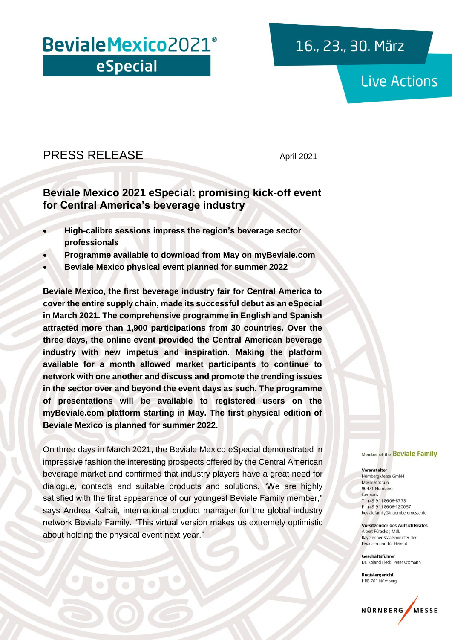# Beviale Mexico 2021<sup>®</sup> eSpecial

## 16., 23., 30. März

## **Live Actions**

### PRESS RELEASE April 2021

### **Beviale Mexico 2021 eSpecial: promising kick-off event for Central America's beverage industry**

- **High-calibre sessions impress the region's beverage sector professionals**
- **Programme available to download from May on myBeviale.com**
- **Beviale Mexico physical event planned for summer 2022**

**Beviale Mexico, the first beverage industry fair for Central America to cover the entire supply chain, made its successful debut as an eSpecial in March 2021. The comprehensive programme in English and Spanish attracted more than 1,900 participations from 30 countries. Over the three days, the online event provided the Central American beverage industry with new impetus and inspiration. Making the platform available for a month allowed market participants to continue to network with one another and discuss and promote the trending issues in the sector over and beyond the event days as such. The programme of presentations will be available to registered users on the myBeviale.com platform starting in May. The first physical edition of Beviale Mexico is planned for summer 2022.** 

On three days in March 2021, the Beviale Mexico eSpecial demonstrated in impressive fashion the interesting prospects offered by the Central American beverage market and confirmed that industry players have a great need for dialogue, contacts and suitable products and solutions. "We are highly satisfied with the first appearance of our youngest Beviale Family member," says Andrea Kalrait, international product manager for the global industry network Beviale Family. "This virtual version makes us extremely optimistic about holding the physical event next year."

#### Member of the Beviale Family

#### Veranstalter

NürnbergMesse GmbH Messezentrum 90471 Nürnberg Germany T +49 9 11 86 06-87 78 +49 911 8606-120057 bevialefamily@nuernbergmesse.de

**Vorsitzender des Aufsichtsrates** Albert Füracker, Mdl Bayerischer Staatsminister der Finanzen und für Heimat

Geschäftsführer Dr. Roland Fleck, Peter Ottmann

Registergericht HRB 761 Nürnberg

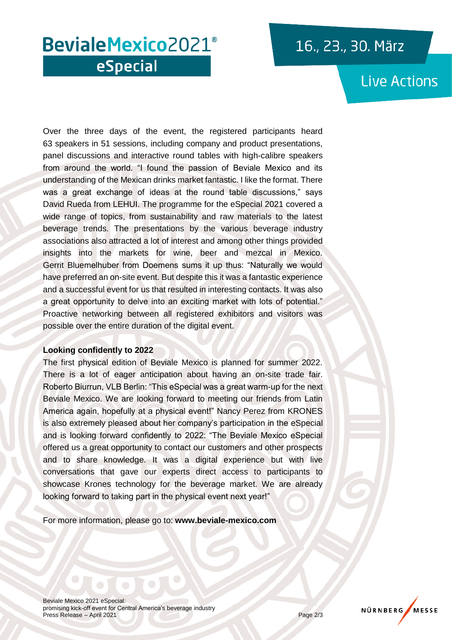## 16., 23., 30. März

## BevialeMexico2021<sup>®</sup> eSpecial

## **Live Actions**

Over the three days of the event, the registered participants heard 63 speakers in 51 sessions, including company and product presentations, panel discussions and interactive round tables with high-calibre speakers from around the world. "I found the passion of Beviale Mexico and its understanding of the Mexican drinks market fantastic. I like the format. There was a great exchange of ideas at the round table discussions," says David Rueda from LEHUI. The programme for the eSpecial 2021 covered a wide range of topics, from sustainability and raw materials to the latest beverage trends. The presentations by the various beverage industry associations also attracted a lot of interest and among other things provided insights into the markets for wine, beer and mezcal in Mexico. Gerrit Bluemelhuber from Doemens sums it up thus: "Naturally we would have preferred an on-site event. But despite this it was a fantastic experience and a successful event for us that resulted in interesting contacts. It was also a great opportunity to delve into an exciting market with lots of potential." Proactive networking between all registered exhibitors and visitors was possible over the entire duration of the digital event.

### **Looking confidently to 2022**

The first physical edition of Beviale Mexico is planned for summer 2022. There is a lot of eager anticipation about having an on-site trade fair. Roberto Biurrun, VLB Berlin: "This eSpecial was a great warm-up for the next Beviale Mexico. We are looking forward to meeting our friends from Latin America again, hopefully at a physical event!" Nancy Perez from KRONES is also extremely pleased about her company's participation in the eSpecial and is looking forward confidently to 2022: "The Beviale Mexico eSpecial offered us a great opportunity to contact our customers and other prospects and to share knowledge. It was a digital experience but with live conversations that gave our experts direct access to participants to showcase Krones technology for the beverage market. We are already looking forward to taking part in the physical event next year!"

For more information, please go to: **www.beviale-mexico.com**